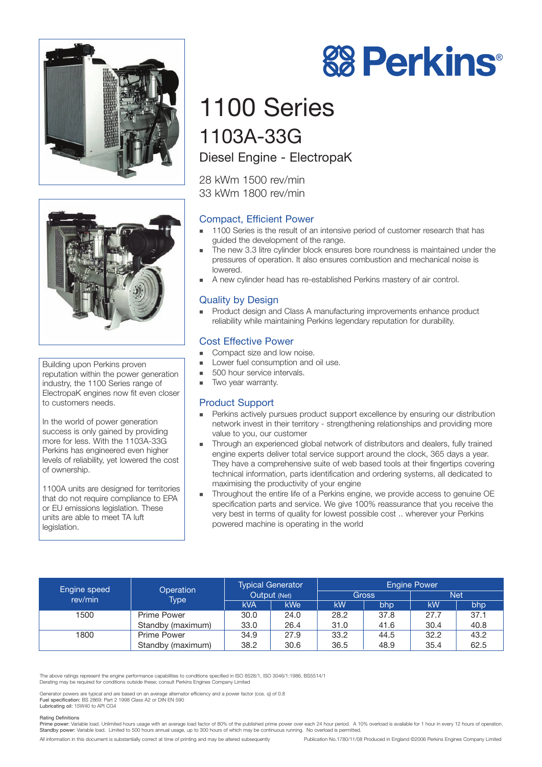



Building upon Perkins proven reputation within the power generation industry, the 1100 Series range of ElectropaK engines now fit even closer to customers needs.

In the world of power generation success is only gained by providing more for less. With the 1103A-33G Perkins has engineered even higher levels of reliability, yet lowered the cost of ownership.

1100A units are designed for territories that do not require compliance to EPA or EU emissions legislation. These units are able to meet TA luft legislation.

# **88 Perkins®**

# 1100 Series 1103A-33G

Diesel Engine - ElectropaK

28 kWm 1500 rev/min 33 kWm 1800 rev/min

# Compact, Efficient Power

- - 1100 Series is the result of an intensive period of customer research that has guided the development of the range.
- - The new 3.3 litre cylinder block ensures bore roundness is maintained under the pressures of operation. It also ensures combustion and mechanical noise is lowered.
- -A new cylinder head has re-established Perkins mastery of air control.

# Quality by Design

- Product design and Class A manufacturing improvements enhance product reliability while maintaining Perkins legendary reputation for durability.

### Cost Effective Power

- -Compact size and low noise.
- -Lower fuel consumption and oil use.
- -500 hour service intervals.
- -Two year warranty.

#### Product Support

- - Perkins actively pursues product support excellence by ensuring our distribution network invest in their territory - strengthening relationships and providing more value to you, our customer
- - Through an experienced global network of distributors and dealers, fully trained engine experts deliver total service support around the clock, 365 days a year. They have a comprehensive suite of web based tools at their fingertips covering technical information, parts identification and ordering systems, all dedicated to maximising the productivity of your engine
- - Throughout the entire life of a Perkins engine, we provide access to genuine OE specification parts and service. We give 100% reassurance that you receive the very best in terms of quality for lowest possible cost .. wherever your Perkins powered machine is operating in the world

| Engine speed<br>rev/min | Operation<br><b>Type</b> | <b>Typical Generator</b><br>Output (Net) |            | <b>Engine Power</b> |      |            |      |
|-------------------------|--------------------------|------------------------------------------|------------|---------------------|------|------------|------|
|                         |                          |                                          |            | <b>Gross</b>        |      | <b>Net</b> |      |
|                         |                          | <b>kVA</b>                               | <b>kWe</b> | kW                  | bhp  | kW         | bhp  |
| 1500                    | <b>Prime Power</b>       | 30.0                                     | 24.0       | 28.2                | 37.8 | 27.7       | 37.1 |
|                         | Standby (maximum)        | 33.0                                     | 26.4       | 31.0                | 41.6 | 30.4       | 40.8 |
| 1800                    | Prime Power              | 34.9                                     | 27.9       | 33.2                | 44.5 | 32.2       | 43.2 |
|                         | Standby (maximum)        | 38.2                                     | 30.6       | 36.5                | 48.9 | 35.4       | 62.5 |

The above ratings represent the engine performance capabilities to conditions specified in ISO 8528/1, ISO 3046/1:1986, BS5514/1 Derating may be required for conditions outside these; consult Perkins Engines Company Limited

Generator powers are typical and are based on an average alternator efficiency and a power factor (cos. q) of 0.8<br>Fuel specification: BS 2869: Part 2 1998 Class A2 or DIN EN 590<br>Lubricating oil: 15W40 to API CG4

#### Rating Definitions

Prime power: Variable load. Unlimited hours usage with an average load factor of 80% of the published prime power over each 24 hour period. A 10% overload is available for 1 hour in every 12 hours of operation.<br>Standby pow

All information in this document is substantially correct at time of printing and may be altered subsequently Publication No.1780/11/08 Produced in England ©2006 Perkins Engines Company Limited